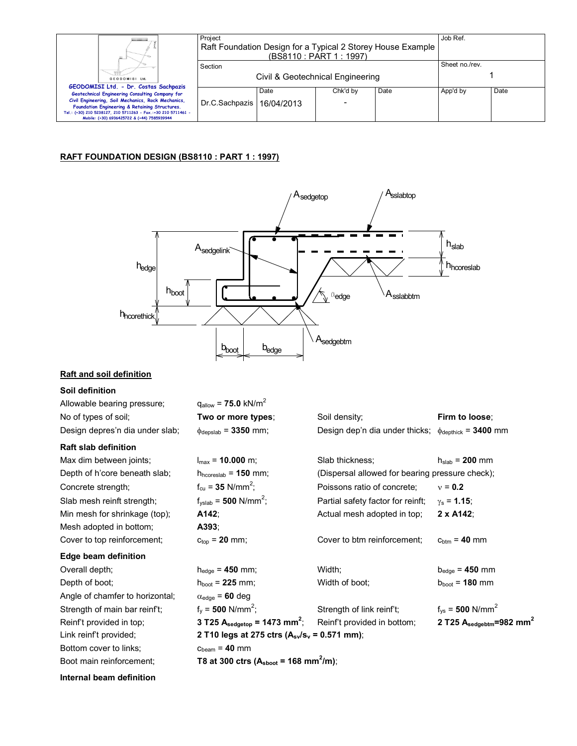| ш                                                                                                                                                                                                                                                                                                                | Project<br>Raft Foundation Design for a Typical 2 Storey House Example<br>(BS8110 : PART 1 : 1997) |      |               |      | Job Ref.       |      |
|------------------------------------------------------------------------------------------------------------------------------------------------------------------------------------------------------------------------------------------------------------------------------------------------------------------|----------------------------------------------------------------------------------------------------|------|---------------|------|----------------|------|
| GEODOMISI Ltd.                                                                                                                                                                                                                                                                                                   | Section<br>Civil & Geotechnical Engineering                                                        |      |               |      | Sheet no./rev. |      |
| GEODOMISI Ltd. - Dr. Costas Sachpazis<br>Geotechnical Engineering Consulting Company for<br>Civil Engineering, Soil Mechanics, Rock Mechanics,<br>Foundation Engineering & Retaining Structures.<br>Tel.: (+30) 210 5238127, 210 5711263 - Fax.:+30 210 5711461 -<br>Mobile: (+30) 6936425722 & (+44) 7585939944 | Dr.C.Sachpazis   16/04/2013                                                                        | Date | Chk'd by<br>۰ | Date | App'd by       | Date |

## **RAFT FOUNDATION DESIGN (BS8110 : PART 1 : 1997)**



## **Raft and soil definition**

## **Soil definition**

| Allowable bearing pressure;     | $q_{\text{allow}} = 75.0 \text{ kN/m}^2$                       |                                                                           |                                              |  |
|---------------------------------|----------------------------------------------------------------|---------------------------------------------------------------------------|----------------------------------------------|--|
| No of types of soil;            | Two or more types;                                             | Soil density;                                                             | Firm to loose;                               |  |
| Design depres'n dia under slab; | $\phi_{\text{depslab}} = 3350$ mm;                             | Design dep'n dia under thicks; $\phi_{\text{depthick}} = 3400 \text{ mm}$ |                                              |  |
| <b>Raft slab definition</b>     |                                                                |                                                                           |                                              |  |
| Max dim between joints;         | $I_{max}$ = 10.000 m;                                          | Slab thickness;                                                           | $h_{slab}$ = 200 mm                          |  |
| Depth of h'core beneath slab;   | $h_{\text{hcoreslab}} = 150$ mm;                               | (Dispersal allowed for bearing pressure check);                           |                                              |  |
| Concrete strength;              | $f_{\text{cu}} = 35 \text{ N/mm}^2$ ;                          | Poissons ratio of concrete;                                               | $v = 0.2$                                    |  |
| Slab mesh reinft strength;      | $f_{\text{vslab}} = 500 \text{ N/mm}^2$ ;                      | Partial safety factor for reinft;                                         | $\gamma_s = 1.15$ ;                          |  |
| Min mesh for shrinkage (top);   | A142;                                                          | Actual mesh adopted in top;                                               | $2 \times A142$ ;                            |  |
| Mesh adopted in bottom;         | A393;                                                          |                                                                           |                                              |  |
| Cover to top reinforcement;     | $c_{top}$ = 20 mm;                                             | Cover to btm reinforcement;                                               | $c_{\text{btm}} = 40$ mm                     |  |
| Edge beam definition            |                                                                |                                                                           |                                              |  |
| Overall depth;                  | $h_{edge} = 450$ mm;                                           | Width;                                                                    | $b_{edge} = 450$ mm                          |  |
| Depth of boot;                  | $h_{\text{boot}} = 225 \text{ mm}$ ;                           | Width of boot;                                                            | $b_{\text{boot}} = 180 \text{ mm}$           |  |
| Angle of chamfer to horizontal; | $\alpha_{\text{edge}}$ = 60 deg                                |                                                                           |                                              |  |
| Strength of main bar reinf't;   | $f_v = 500$ N/mm <sup>2</sup> ;                                | Strength of link reinf't;                                                 | $f_{vs}$ = 500 N/mm <sup>2</sup>             |  |
| Reinf't provided in top;        | 3 T25 $A_{\text{sedgetop}} = 1473 \text{ mm}^2$ ;              | Reinf't provided in bottom;                                               | 2 T25 $A_{\text{sedgebra}}=982 \text{ mm}^2$ |  |
| Link reinf't provided;          | 2 T10 legs at 275 ctrs $(A_{sv}/s_v = 0.571$ mm);              |                                                                           |                                              |  |
| Bottom cover to links;          | $c_{beam} = 40$ mm                                             |                                                                           |                                              |  |
| Boot main reinforcement;        | T8 at 300 ctrs ( $A_{\text{shoot}}$ = 168 mm <sup>2</sup> /m); |                                                                           |                                              |  |

**Internal beam definition**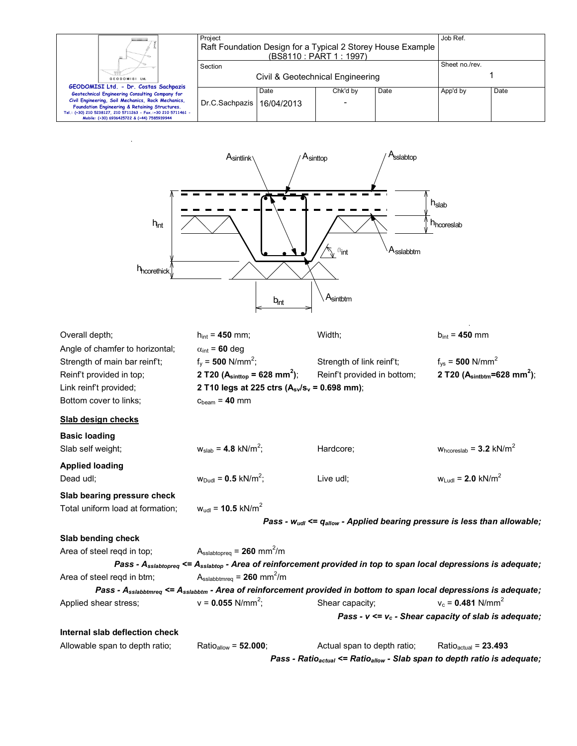|                                                                                                              | Project<br>Raft Foundation Design for a Typical 2 Storey House Example |            |                          |      | Job Ref.       |      |
|--------------------------------------------------------------------------------------------------------------|------------------------------------------------------------------------|------------|--------------------------|------|----------------|------|
| щ                                                                                                            | (BS8110 : PART 1 : 1997)                                               |            |                          |      |                |      |
|                                                                                                              | Section                                                                |            |                          |      | Sheet no./rev. |      |
| GEODOMISI Ltd.                                                                                               | Civil & Geotechnical Engineering                                       |            |                          |      |                |      |
| GEODOMISI Ltd. - Dr. Costas Sachpazis<br>Geotechnical Engineering Consulting Company for                     |                                                                        | Date       | Chk'd by                 | Date | App'd by       | Date |
| Civil Engineering, Soil Mechanics, Rock Mechanics,<br>Foundation Engineering & Retaining Structures.         | Dr.C.Sachpazis                                                         | 16/04/2013 | $\overline{\phantom{0}}$ |      |                |      |
| Tel.: (+30) 210 5238127, 210 5711263 - Fax.:+30 210 5711461 -<br>Mobile: (+30) 6936425722 & (+44) 7585939944 |                                                                        |            |                          |      |                |      |



| Overall depth;                   | $h_{int}$ = 450 mm;                                                                                                                        | Width;                                                                                           | $b_{int} = 450$ mm                                       |  |
|----------------------------------|--------------------------------------------------------------------------------------------------------------------------------------------|--------------------------------------------------------------------------------------------------|----------------------------------------------------------|--|
| Angle of chamfer to horizontal;  | $\alpha_{\text{int}}$ = 60 deg                                                                                                             |                                                                                                  |                                                          |  |
| Strength of main bar reinf't;    | $f_v = 500$ N/mm <sup>2</sup> ;                                                                                                            | Strength of link reinf't;                                                                        | $f_{vs}$ = 500 N/mm <sup>2</sup>                         |  |
| Reinf't provided in top;         | 2 T20 ( $A_{\text{sinttop}}$ = 628 mm <sup>2</sup> );                                                                                      | Reinf't provided in bottom;                                                                      | 2 T20 ( $A_{\text{sintbtm}} = 628$ mm <sup>2</sup> );    |  |
| Link reinf't provided;           | 2 T10 legs at 225 ctrs ( $A_{sv}/s_v = 0.698$ mm);                                                                                         |                                                                                                  |                                                          |  |
| Bottom cover to links;           | $cbeam = 40$ mm                                                                                                                            |                                                                                                  |                                                          |  |
| Slab design checks               |                                                                                                                                            |                                                                                                  |                                                          |  |
| <b>Basic loading</b>             |                                                                                                                                            |                                                                                                  |                                                          |  |
| Slab self weight;                | $w_{slab} = 4.8$ kN/m <sup>2</sup> ;                                                                                                       | Hardcore;                                                                                        | $W_{\text{hcoreslab}} = 3.2 \text{ kN/m}^2$              |  |
| <b>Applied loading</b>           |                                                                                                                                            |                                                                                                  |                                                          |  |
| Dead udl:                        | $w_{Dud} = 0.5$ kN/m <sup>2</sup> ;                                                                                                        | Live udl;                                                                                        | $w_{Lud} = 2.0$ kN/m <sup>2</sup>                        |  |
| Slab bearing pressure check      |                                                                                                                                            |                                                                                                  |                                                          |  |
| Total uniform load at formation; | $w_{ud}$ = 10.5 kN/m <sup>2</sup>                                                                                                          |                                                                                                  |                                                          |  |
|                                  |                                                                                                                                            | Pass - $w_{udl}$ <= $q_{allow}$ - Applied bearing pressure is less than allowable;               |                                                          |  |
| Slab bending check               |                                                                                                                                            |                                                                                                  |                                                          |  |
| Area of steel regd in top;       | $A_{\text{sslabtopreq}} = 260 \text{ mm}^2/\text{m}$                                                                                       |                                                                                                  |                                                          |  |
|                                  | Pass - Asslabtopreq <= Asslabtop - Area of reinforcement provided in top to span local depressions is adequate;                            |                                                                                                  |                                                          |  |
| Area of steel regd in btm;       | $A_{\text{sslabbtmreq}} = 260 \text{ mm}^2/\text{m}$                                                                                       |                                                                                                  |                                                          |  |
|                                  | Pass - A <sub>sslabbtmreq</sub> <= A <sub>sslabbtm</sub> - Area of reinforcement provided in bottom to span local depressions is adequate; |                                                                                                  |                                                          |  |
| Applied shear stress;            | $v = 0.055$ N/mm <sup>2</sup> ;                                                                                                            | Shear capacity;                                                                                  | $v_c = 0.481$ N/mm <sup>2</sup>                          |  |
|                                  |                                                                                                                                            |                                                                                                  | Pass - $v \le v_c$ - Shear capacity of slab is adequate; |  |
| Internal slab deflection check   |                                                                                                                                            |                                                                                                  |                                                          |  |
| Allowable span to depth ratio;   | Ratio <sub>allow</sub> = 52.000;                                                                                                           | Actual span to depth ratio;                                                                      | Ratio $_{actual}$ = 23.493                               |  |
|                                  |                                                                                                                                            | Pass - Ratio <sub>actual</sub> <= Ratio <sub>allow</sub> - Slab span to depth ratio is adequate; |                                                          |  |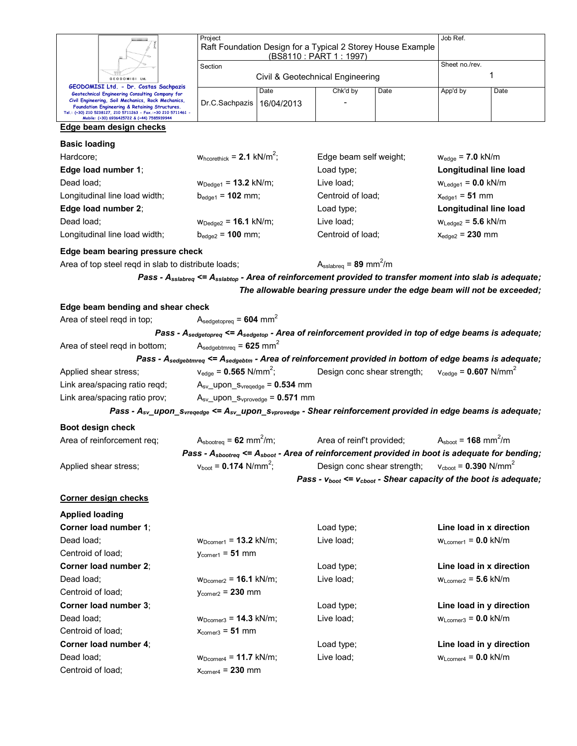|                                                                                                                                                                                                                      | Project                                                                                                                          | Job Ref.                                               |                                                                           |                             |                                                |                                |  |
|----------------------------------------------------------------------------------------------------------------------------------------------------------------------------------------------------------------------|----------------------------------------------------------------------------------------------------------------------------------|--------------------------------------------------------|---------------------------------------------------------------------------|-----------------------------|------------------------------------------------|--------------------------------|--|
|                                                                                                                                                                                                                      | Raft Foundation Design for a Typical 2 Storey House Example<br>(BS8110 : PART 1 : 1997)                                          |                                                        |                                                                           |                             |                                                |                                |  |
|                                                                                                                                                                                                                      | Section                                                                                                                          |                                                        |                                                                           | Sheet no./rev.              |                                                |                                |  |
| GEODOMISI Ltd                                                                                                                                                                                                        |                                                                                                                                  |                                                        | Civil & Geotechnical Engineering                                          |                             | 1                                              |                                |  |
| GEODOMISI Ltd. - Dr. Costas Sachpazis<br>Geotechnical Engineering Consulting Company for                                                                                                                             |                                                                                                                                  | Date                                                   | Chk'd by                                                                  | Date                        | App'd by                                       | Date                           |  |
| Civil Engineering, Soil Mechanics, Rock Mechanics,<br>Foundation Engineering & Retaining Structures.<br>Tel.: (+30) 210 5238127, 210 5711263 - Fax.:+30 210 5711461 -<br>Mobile: (+30) 6936425722 & (+44) 7585939944 | Dr.C.Sachpazis                                                                                                                   | 16/04/2013                                             |                                                                           |                             |                                                |                                |  |
| Edge beam design checks                                                                                                                                                                                              |                                                                                                                                  |                                                        |                                                                           |                             |                                                |                                |  |
| <b>Basic loading</b>                                                                                                                                                                                                 |                                                                                                                                  |                                                        |                                                                           |                             |                                                |                                |  |
| Hardcore;                                                                                                                                                                                                            | $W_{\text{hcorethick}}$ = 2.1 kN/m <sup>2</sup> ;                                                                                |                                                        | Edge beam self weight;                                                    |                             | $w_{edge}$ = 7.0 kN/m                          |                                |  |
| Edge load number 1;                                                                                                                                                                                                  |                                                                                                                                  |                                                        | Load type;                                                                |                             | Longitudinal line load                         |                                |  |
| Dead load;                                                                                                                                                                                                           | $W_{Dedge1} = 13.2$ kN/m;                                                                                                        |                                                        | Live load;                                                                |                             | $W_{\text{Ledge1}} = 0.0 \text{ kN/m}$         |                                |  |
| Longitudinal line load width;                                                                                                                                                                                        | $b_{edge1} = 102$ mm;                                                                                                            |                                                        | Centroid of load;                                                         |                             | $x_{edge1} = 51$ mm                            |                                |  |
| Edge load number 2;                                                                                                                                                                                                  |                                                                                                                                  |                                                        | Load type;                                                                |                             | Longitudinal line load                         |                                |  |
| Dead load;                                                                                                                                                                                                           | $W_{Dedge2} = 16.1$ kN/m;                                                                                                        |                                                        | Live load;                                                                |                             |                                                | $W_{\text{Ledge2}} = 5.6$ kN/m |  |
| Longitudinal line load width;                                                                                                                                                                                        | $b_{\text{edge2}} = 100 \text{ mm}$ ;                                                                                            |                                                        | Centroid of load;                                                         |                             | $x_{edge2} = 230$ mm                           |                                |  |
|                                                                                                                                                                                                                      |                                                                                                                                  |                                                        |                                                                           |                             |                                                |                                |  |
| Edge beam bearing pressure check<br>Area of top steel reqd in slab to distribute loads;                                                                                                                              |                                                                                                                                  |                                                        | $A_{\text{sslabreq}} = 89 \text{ mm}^2/\text{m}$                          |                             |                                                |                                |  |
|                                                                                                                                                                                                                      |                                                                                                                                  |                                                        |                                                                           |                             |                                                |                                |  |
|                                                                                                                                                                                                                      | Pass - A <sub>sslabreq</sub> <= A <sub>sslabtop</sub> - Area of reinforcement provided to transfer moment into slab is adequate; |                                                        |                                                                           |                             |                                                |                                |  |
|                                                                                                                                                                                                                      |                                                                                                                                  |                                                        | The allowable bearing pressure under the edge beam will not be exceeded;  |                             |                                                |                                |  |
| Edge beam bending and shear check                                                                                                                                                                                    |                                                                                                                                  |                                                        |                                                                           |                             |                                                |                                |  |
| Area of steel regd in top;                                                                                                                                                                                           | $A_{\text{sedgetopreq}} = 604 \text{ mm}^2$                                                                                      |                                                        |                                                                           |                             |                                                |                                |  |
|                                                                                                                                                                                                                      | Pass - $A_{\text{sedgetopreq}} \leq A_{\text{sedgetop}}$ - Area of reinforcement provided in top of edge beams is adequate;      |                                                        |                                                                           |                             |                                                |                                |  |
| Area of steel regd in bottom;                                                                                                                                                                                        | $A_{\text{sedgebtmreq}} = 625 \text{ mm}^2$                                                                                      |                                                        |                                                                           |                             |                                                |                                |  |
|                                                                                                                                                                                                                      | Pass - Asedgebtmreq <= Asedgebtm - Area of reinforcement provided in bottom of edge beams is adequate;                           |                                                        |                                                                           |                             |                                                |                                |  |
| Applied shear stress;                                                                                                                                                                                                | $v_{\text{edge}} = 0.565 \text{ N/mm}^2$ ;                                                                                       |                                                        | Design conc shear strength;                                               |                             | $v_{\text{cedge}} = 0.607 \text{ N/mm}^2$      |                                |  |
| Link area/spacing ratio reqd;                                                                                                                                                                                        |                                                                                                                                  | $A_{sv}\_\text{upon}\_S_{vregedge} = 0.534 \text{ mm}$ |                                                                           |                             |                                                |                                |  |
| Link area/spacing ratio prov;                                                                                                                                                                                        | $A_{sv}\_\text{upon}\_\text{Svprovedge} = 0.571 \text{ mm}$                                                                      |                                                        |                                                                           |                             |                                                |                                |  |
| Pass - A <sub>sv_</sub> upon_s <sub>vreqedge</sub> <= A <sub>sv_</sub> upon_s <sub>vprovedge</sub> - Shear reinforcement provided in edge beams is adequate;                                                         |                                                                                                                                  |                                                        |                                                                           |                             |                                                |                                |  |
| Boot design check                                                                                                                                                                                                    |                                                                                                                                  |                                                        |                                                                           |                             |                                                |                                |  |
|                                                                                                                                                                                                                      |                                                                                                                                  |                                                        |                                                                           |                             |                                                |                                |  |
| Area of reinforcement req;                                                                                                                                                                                           | $A_{\text{sbootreq}} = 62 \text{ mm}^2/\text{m}$ ;                                                                               |                                                        | Area of reinf't provided;                                                 |                             | $A_{\text{shoot}} = 168 \text{ mm}^2/\text{m}$ |                                |  |
|                                                                                                                                                                                                                      | Pass - A <sub>sbootreq</sub> <= A <sub>sboot</sub> - Area of reinforcement provided in boot is adequate for bending;             |                                                        |                                                                           |                             |                                                |                                |  |
| Applied shear stress;                                                                                                                                                                                                | $v_{\text{boot}} = 0.174 \text{ N/mm}^2$ ;                                                                                       |                                                        |                                                                           | Design conc shear strength; | $v_{\text{cboot}} = 0.390 \text{ N/mm}^2$      |                                |  |
|                                                                                                                                                                                                                      |                                                                                                                                  |                                                        | Pass - $v_{boot} \le v_{cboot}$ - Shear capacity of the boot is adequate; |                             |                                                |                                |  |
|                                                                                                                                                                                                                      |                                                                                                                                  |                                                        |                                                                           |                             |                                                |                                |  |
| <b>Corner design checks</b>                                                                                                                                                                                          |                                                                                                                                  |                                                        |                                                                           |                             |                                                |                                |  |
| <b>Applied loading</b>                                                                                                                                                                                               |                                                                                                                                  |                                                        |                                                                           |                             |                                                |                                |  |
| Corner load number 1;                                                                                                                                                                                                |                                                                                                                                  |                                                        | Load type;                                                                |                             | Line load in x direction                       |                                |  |
| Dead load;                                                                                                                                                                                                           | $WDocument = 13.2 kN/m;$                                                                                                         |                                                        | Live load;                                                                |                             | $WLcorner1 = 0.0$ kN/m                         |                                |  |
| Centroid of load;                                                                                                                                                                                                    | $y_{corner1} = 51$ mm                                                                                                            |                                                        |                                                                           |                             |                                                |                                |  |
| Corner load number 2;                                                                                                                                                                                                |                                                                                                                                  |                                                        | Load type;                                                                |                             | Line load in x direction                       |                                |  |
| Dead load;                                                                                                                                                                                                           | $W_{Dcorner2} = 16.1$ kN/m;                                                                                                      |                                                        | Live load;                                                                |                             | $W_{Lcorner2} = 5.6$ kN/m                      |                                |  |
| Centroid of load;                                                                                                                                                                                                    | $y_{\text{corner2}} = 230$ mm                                                                                                    |                                                        |                                                                           |                             |                                                |                                |  |
| Corner load number 3;                                                                                                                                                                                                |                                                                                                                                  |                                                        | Load type;                                                                |                             | Line load in y direction                       |                                |  |
| Dead load;                                                                                                                                                                                                           | $W_{\text{Dcorner3}} = 14.3 \text{ kN/m}$ ;                                                                                      |                                                        | Live load;                                                                |                             | $WLcorner3 = 0.0$ kN/m                         |                                |  |
| Centroid of load;                                                                                                                                                                                                    | $x_{\text{corner3}} = 51 \text{ mm}$                                                                                             |                                                        |                                                                           |                             |                                                |                                |  |
| Corner load number 4;                                                                                                                                                                                                |                                                                                                                                  |                                                        | Load type;                                                                |                             | Line load in y direction                       |                                |  |
| Dead load;<br>Centroid of load;                                                                                                                                                                                      | $W_{Dcorner4} = 11.7$ kN/m;<br>$x_{\text{corner4}} = 230$ mm                                                                     |                                                        | Live load;                                                                |                             | $W_{Lcorner4} = 0.0$ kN/m                      |                                |  |